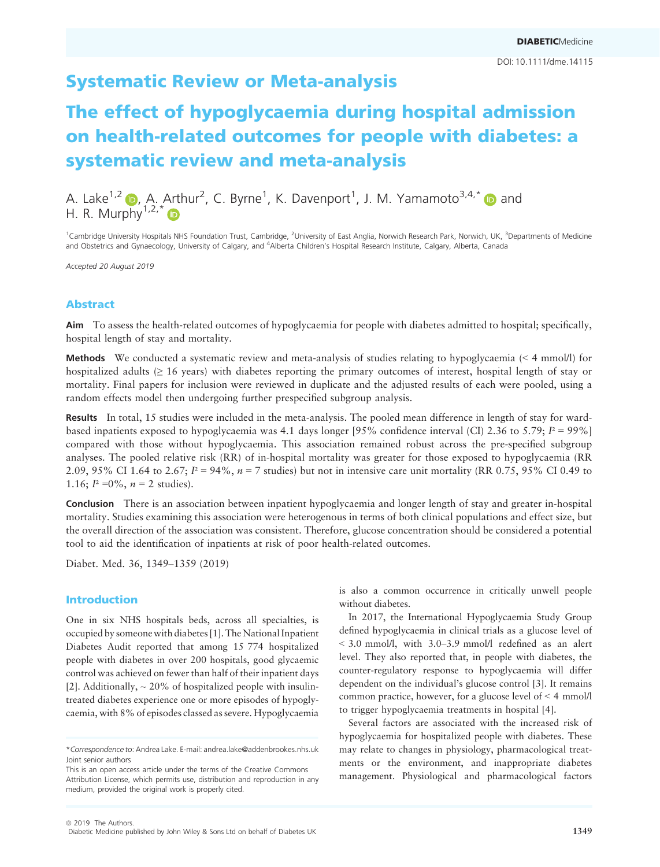# Systematic Review or Meta-analysis

# The effect of hypoglycaemia during hospital admission on health-related outcomes for people with diabetes: a systematic review and meta-analysis

A. Lake<sup>1,2</sup>  $\bullet$ , A. Arthur<sup>2</sup>, C. Byrne<sup>1</sup>, K. Davenport<sup>1</sup>, J. M. Yamamoto<sup>3,4,[\\*](https://orcid.org/0000-0002-3556-0820)</sup>  $\bullet$  and H. R. Murphy $1.2.*$  $1.2.*$ 

<sup>1</sup>Cambridge University Hospitals NHS Foundation Trust, Cambridge, <sup>2</sup>University of East Anglia, Norwich Research Park, Norwich, UK, <sup>3</sup>Departments of Medicine and Obstetrics and Gynaecology, University of Calgary, and <sup>4</sup>Alberta Children's Hospital Research Institute, Calgary, Alberta, Canada

Accepted 20 August 2019

# Abstract

Aim To assess the health-related outcomes of hypoglycaemia for people with diabetes admitted to hospital; specifically, hospital length of stay and mortality.

Methods We conducted a systematic review and meta-analysis of studies relating to hypoglycaemia (< 4 mmol/l) for hospitalized adults (≥ 16 years) with diabetes reporting the primary outcomes of interest, hospital length of stay or mortality. Final papers for inclusion were reviewed in duplicate and the adjusted results of each were pooled, using a random effects model then undergoing further prespecified subgroup analysis.

Results In total, 15 studies were included in the meta-analysis. The pooled mean difference in length of stay for wardbased inpatients exposed to hypoglycaemia was 4.1 days longer [95% confidence interval (CI) 2.36 to 5.79;  $I^2 = 99\%$ ] compared with those without hypoglycaemia. This association remained robust across the pre-specified subgroup analyses. The pooled relative risk (RR) of in-hospital mortality was greater for those exposed to hypoglycaemia (RR 2.09, 95% CI 1.64 to 2.67;  $I^2 = 94\%$ ,  $n = 7$  studies) but not in intensive care unit mortality (RR 0.75, 95% CI 0.49 to 1.16;  $I^2 = 0\%$ ,  $n = 2$  studies).

Conclusion There is an association between inpatient hypoglycaemia and longer length of stay and greater in-hospital mortality. Studies examining this association were heterogenous in terms of both clinical populations and effect size, but the overall direction of the association was consistent. Therefore, glucose concentration should be considered a potential tool to aid the identification of inpatients at risk of poor health-related outcomes.

Diabet. Med. 36, 1349–1359 (2019)

# Introduction

One in six NHS hospitals beds, across all specialties, is occupied by someone with diabetes [1]. The National Inpatient Diabetes Audit reported that among 15 774 hospitalized people with diabetes in over 200 hospitals, good glycaemic control was achieved on fewer than half of their inpatient days [2]. Additionally,  $\sim$  20% of hospitalized people with insulintreated diabetes experience one or more episodes of hypoglycaemia, with 8% of episodes classed as severe. Hypoglycaemia

\*Correspondence to: Andrea Lake. E-mail: [andrea.lake@addenbrookes.nhs.uk](mailto:) Joint senior authors

is also a common occurrence in critically unwell people without diabetes.

In 2017, the International Hypoglycaemia Study Group defined hypoglycaemia in clinical trials as a glucose level of < 3.0 mmol/l, with 3.0–3.9 mmol/l redefined as an alert level. They also reported that, in people with diabetes, the counter-regulatory response to hypoglycaemia will differ dependent on the individual's glucose control [3]. It remains common practice, however, for a glucose level of < 4 mmol/l to trigger hypoglycaemia treatments in hospital [4].

Several factors are associated with the increased risk of hypoglycaemia for hospitalized people with diabetes. These may relate to changes in physiology, pharmacological treatments or the environment, and inappropriate diabetes management. Physiological and pharmacological factors

This is an open access article under the terms of the [Creative Commons](http://creativecommons.org/licenses/by/4.0/) [Attribution](http://creativecommons.org/licenses/by/4.0/) License, which permits use, distribution and reproduction in any medium, provided the original work is properly cited.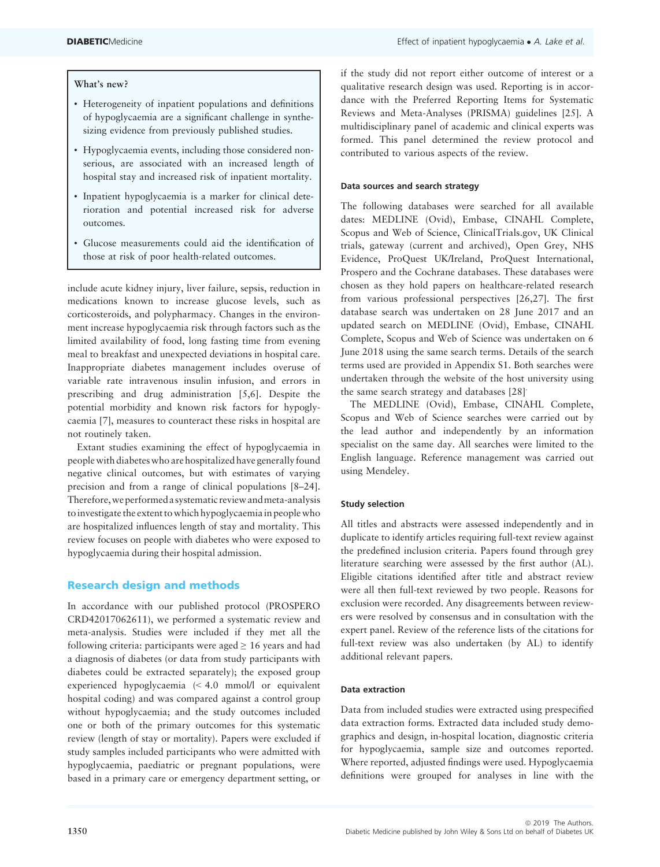# What's new?

- Heterogeneity of inpatient populations and definitions of hypoglycaemia are a significant challenge in synthesizing evidence from previously published studies.
- Hypoglycaemia events, including those considered nonserious, are associated with an increased length of hospital stay and increased risk of inpatient mortality.
- Inpatient hypoglycaemia is a marker for clinical deterioration and potential increased risk for adverse outcomes.
- Glucose measurements could aid the identification of those at risk of poor health-related outcomes.

include acute kidney injury, liver failure, sepsis, reduction in medications known to increase glucose levels, such as corticosteroids, and polypharmacy. Changes in the environment increase hypoglycaemia risk through factors such as the limited availability of food, long fasting time from evening meal to breakfast and unexpected deviations in hospital care. Inappropriate diabetes management includes overuse of variable rate intravenous insulin infusion, and errors in prescribing and drug administration [5,6]. Despite the potential morbidity and known risk factors for hypoglycaemia [7], measures to counteract these risks in hospital are not routinely taken.

Extant studies examining the effect of hypoglycaemia in people with diabetes who are hospitalized have generally found negative clinical outcomes, but with estimates of varying precision and from a range of clinical populations [8–24]. Therefore,weperformed a systematic review andmeta-analysis toinvestigate the extent to which hypoglycaemiain people who are hospitalized influences length of stay and mortality. This review focuses on people with diabetes who were exposed to hypoglycaemia during their hospital admission.

## Research design and methods

In accordance with our published protocol (PROSPERO CRD42017062611), we performed a systematic review and meta-analysis. Studies were included if they met all the following criteria: participants were aged  $\geq 16$  years and had a diagnosis of diabetes (or data from study participants with diabetes could be extracted separately); the exposed group experienced hypoglycaemia (< 4.0 mmol/l or equivalent hospital coding) and was compared against a control group without hypoglycaemia; and the study outcomes included one or both of the primary outcomes for this systematic review (length of stay or mortality). Papers were excluded if study samples included participants who were admitted with hypoglycaemia, paediatric or pregnant populations, were based in a primary care or emergency department setting, or

if the study did not report either outcome of interest or a qualitative research design was used. Reporting is in accordance with the Preferred Reporting Items for Systematic Reviews and Meta-Analyses (PRISMA) guidelines [25]. A multidisciplinary panel of academic and clinical experts was formed. This panel determined the review protocol and contributed to various aspects of the review.

#### Data sources and search strategy

The following databases were searched for all available dates: MEDLINE (Ovid), Embase, CINAHL Complete, Scopus and Web of Science, ClinicalTrials.gov, UK Clinical trials, gateway (current and archived), Open Grey, NHS Evidence, ProQuest UK/Ireland, ProQuest International, Prospero and the Cochrane databases. These databases were chosen as they hold papers on healthcare-related research from various professional perspectives [26,27]. The first database search was undertaken on 28 June 2017 and an updated search on MEDLINE (Ovid), Embase, CINAHL Complete, Scopus and Web of Science was undertaken on 6 June 2018 using the same search terms. Details of the search terms used are provided in Appendix S1. Both searches were undertaken through the website of the host university using the same search strategy and databases [28].

The MEDLINE (Ovid), Embase, CINAHL Complete, Scopus and Web of Science searches were carried out by the lead author and independently by an information specialist on the same day. All searches were limited to the English language. Reference management was carried out using Mendeley.

## Study selection

All titles and abstracts were assessed independently and in duplicate to identify articles requiring full-text review against the predefined inclusion criteria. Papers found through grey literature searching were assessed by the first author (AL). Eligible citations identified after title and abstract review were all then full-text reviewed by two people. Reasons for exclusion were recorded. Any disagreements between reviewers were resolved by consensus and in consultation with the expert panel. Review of the reference lists of the citations for full-text review was also undertaken (by AL) to identify additional relevant papers.

#### Data extraction

Data from included studies were extracted using prespecified data extraction forms. Extracted data included study demographics and design, in-hospital location, diagnostic criteria for hypoglycaemia, sample size and outcomes reported. Where reported, adjusted findings were used. Hypoglycaemia definitions were grouped for analyses in line with the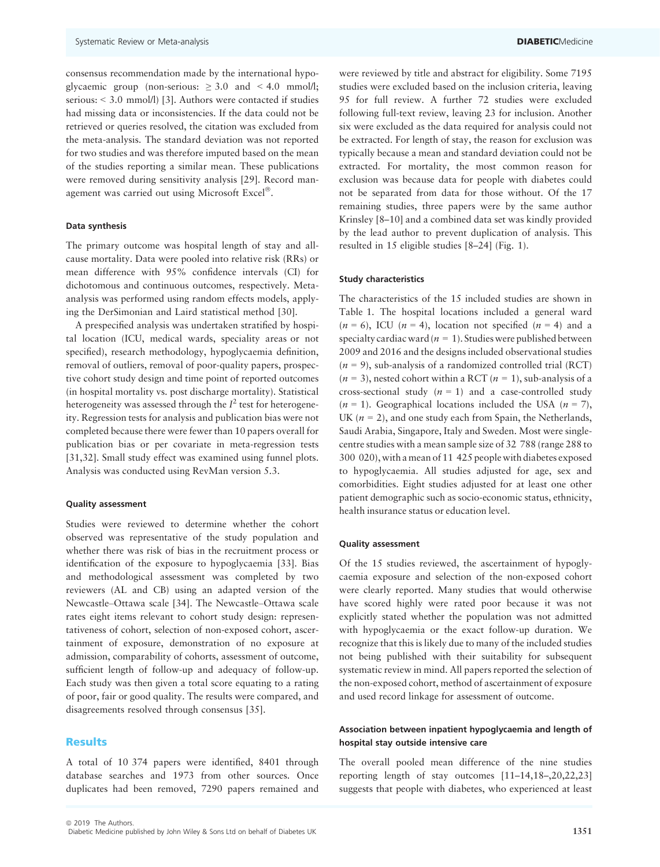consensus recommendation made by the international hypoglycaemic group (non-serious:  $\geq 3.0$  and  $\leq 4.0$  mmol/l; serious: < 3.0 mmol/l) [3]. Authors were contacted if studies had missing data or inconsistencies. If the data could not be retrieved or queries resolved, the citation was excluded from the meta-analysis. The standard deviation was not reported for two studies and was therefore imputed based on the mean of the studies reporting a similar mean. These publications were removed during sensitivity analysis [29]. Record management was carried out using Microsoft Excel®.

#### Data synthesis

The primary outcome was hospital length of stay and allcause mortality. Data were pooled into relative risk (RRs) or mean difference with 95% confidence intervals (CI) for dichotomous and continuous outcomes, respectively. Metaanalysis was performed using random effects models, applying the DerSimonian and Laird statistical method [30].

A prespecified analysis was undertaken stratified by hospital location (ICU, medical wards, speciality areas or not specified), research methodology, hypoglycaemia definition, removal of outliers, removal of poor-quality papers, prospective cohort study design and time point of reported outcomes (in hospital mortality vs. post discharge mortality). Statistical heterogeneity was assessed through the  $I^2$  test for heterogeneity. Regression tests for analysis and publication bias were not completed because there were fewer than 10 papers overall for publication bias or per covariate in meta-regression tests [31,32]. Small study effect was examined using funnel plots. Analysis was conducted using RevMan version 5.3.

#### Quality assessment

Studies were reviewed to determine whether the cohort observed was representative of the study population and whether there was risk of bias in the recruitment process or identification of the exposure to hypoglycaemia [33]. Bias and methodological assessment was completed by two reviewers (AL and CB) using an adapted version of the Newcastle–Ottawa scale [34]. The Newcastle–Ottawa scale rates eight items relevant to cohort study design: representativeness of cohort, selection of non-exposed cohort, ascertainment of exposure, demonstration of no exposure at admission, comparability of cohorts, assessment of outcome, sufficient length of follow-up and adequacy of follow-up. Each study was then given a total score equating to a rating of poor, fair or good quality. The results were compared, and disagreements resolved through consensus [35].

#### Results

A total of 10 374 papers were identified, 8401 through database searches and 1973 from other sources. Once duplicates had been removed, 7290 papers remained and were reviewed by title and abstract for eligibility. Some 7195 studies were excluded based on the inclusion criteria, leaving 95 for full review. A further 72 studies were excluded following full-text review, leaving 23 for inclusion. Another six were excluded as the data required for analysis could not be extracted. For length of stay, the reason for exclusion was typically because a mean and standard deviation could not be extracted. For mortality, the most common reason for exclusion was because data for people with diabetes could not be separated from data for those without. Of the 17 remaining studies, three papers were by the same author Krinsley [8–10] and a combined data set was kindly provided by the lead author to prevent duplication of analysis. This resulted in 15 eligible studies [8–24] (Fig. 1).

#### Study characteristics

The characteristics of the 15 included studies are shown in Table 1. The hospital locations included a general ward  $(n = 6)$ , ICU  $(n = 4)$ , location not specified  $(n = 4)$  and a specialty cardiac ward ( $n = 1$ ). Studies were published between 2009 and 2016 and the designs included observational studies  $(n = 9)$ , sub-analysis of a randomized controlled trial (RCT)  $(n = 3)$ , nested cohort within a RCT  $(n = 1)$ , sub-analysis of a cross-sectional study  $(n = 1)$  and a case-controlled study  $(n = 1)$ . Geographical locations included the USA  $(n = 7)$ , UK ( $n = 2$ ), and one study each from Spain, the Netherlands, Saudi Arabia, Singapore, Italy and Sweden. Most were singlecentre studies with a mean sample size of 32 788 (range 288 to 300 020), with a mean of 11 425 people with diabetes exposed to hypoglycaemia. All studies adjusted for age, sex and comorbidities. Eight studies adjusted for at least one other patient demographic such as socio-economic status, ethnicity, health insurance status or education level.

# Quality assessment

Of the 15 studies reviewed, the ascertainment of hypoglycaemia exposure and selection of the non-exposed cohort were clearly reported. Many studies that would otherwise have scored highly were rated poor because it was not explicitly stated whether the population was not admitted with hypoglycaemia or the exact follow-up duration. We recognize that this is likely due to many of the included studies not being published with their suitability for subsequent systematic review in mind. All papers reported the selection of the non-exposed cohort, method of ascertainment of exposure and used record linkage for assessment of outcome.

# Association between inpatient hypoglycaemia and length of hospital stay outside intensive care

The overall pooled mean difference of the nine studies reporting length of stay outcomes [11–14,18–,20,22,23] suggests that people with diabetes, who experienced at least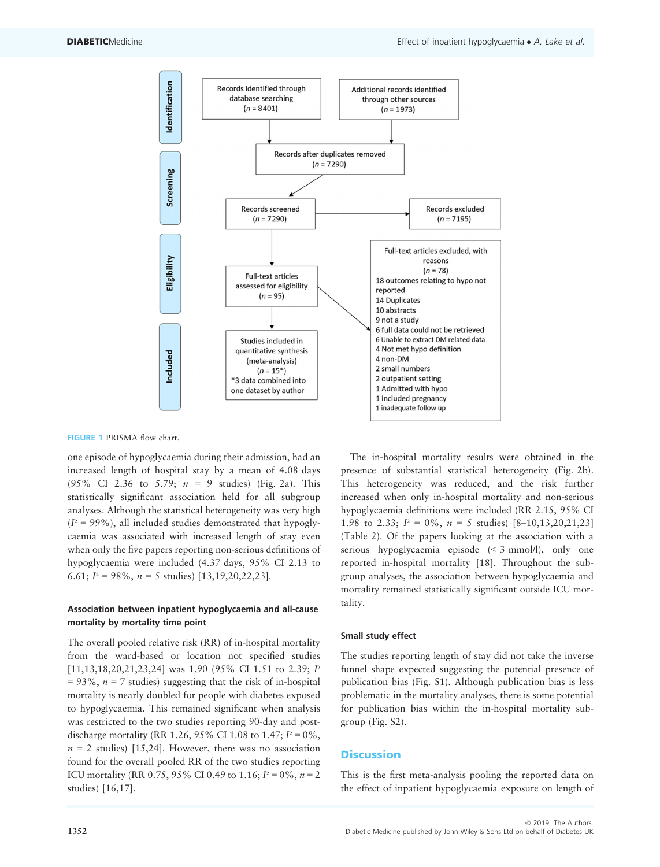

# FIGURE 1 PRISMA flow chart.

one episode of hypoglycaemia during their admission, had an increased length of hospital stay by a mean of 4.08 days (95% CI 2.36 to 5.79;  $n = 9$  studies) (Fig. 2a). This statistically significant association held for all subgroup analyses. Although the statistical heterogeneity was very high  $(I<sup>2</sup> = 99\%)$ , all included studies demonstrated that hypoglycaemia was associated with increased length of stay even when only the five papers reporting non-serious definitions of hypoglycaemia were included (4.37 days, 95% CI 2.13 to 6.61;  $I^2 = 98\%, n = 5$  studies) [13,19,20,22,23].

# Association between inpatient hypoglycaemia and all-cause mortality by mortality time point

The overall pooled relative risk (RR) of in-hospital mortality from the ward-based or location not specified studies [11,13,18,20,21,23,24] was 1.90 (95% CI 1.51 to 2.39; *I*<sup>2</sup>  $= 93\%$ ,  $n = 7$  studies) suggesting that the risk of in-hospital mortality is nearly doubled for people with diabetes exposed to hypoglycaemia. This remained significant when analysis was restricted to the two studies reporting 90-day and postdischarge mortality (RR 1.26, 95% CI 1.08 to 1.47;  $I^2 = 0\%$ ,  $n = 2$  studies) [15,24]. However, there was no association found for the overall pooled RR of the two studies reporting ICU mortality (RR 0.75, 95% CI 0.49 to 1.16;  $I^2 = 0\%$ ,  $n = 2$ studies) [16,17].

The in-hospital mortality results were obtained in the presence of substantial statistical heterogeneity (Fig. 2b). This heterogeneity was reduced, and the risk further increased when only in-hospital mortality and non-serious hypoglycaemia definitions were included (RR 2.15, 95% CI 1.98 to 2.33;  $I^2 = 0\%$ ,  $n = 5$  studies)  $[8-10, 13, 20, 21, 23]$ (Table 2). Of the papers looking at the association with a serious hypoglycaemia episode (< 3 mmol/l), only one reported in-hospital mortality [18]. Throughout the subgroup analyses, the association between hypoglycaemia and mortality remained statistically significant outside ICU mortality.

#### Small study effect

The studies reporting length of stay did not take the inverse funnel shape expected suggesting the potential presence of publication bias (Fig. S1). Although publication bias is less problematic in the mortality analyses, there is some potential for publication bias within the in-hospital mortality subgroup (Fig. S2).

# **Discussion**

This is the first meta-analysis pooling the reported data on the effect of inpatient hypoglycaemia exposure on length of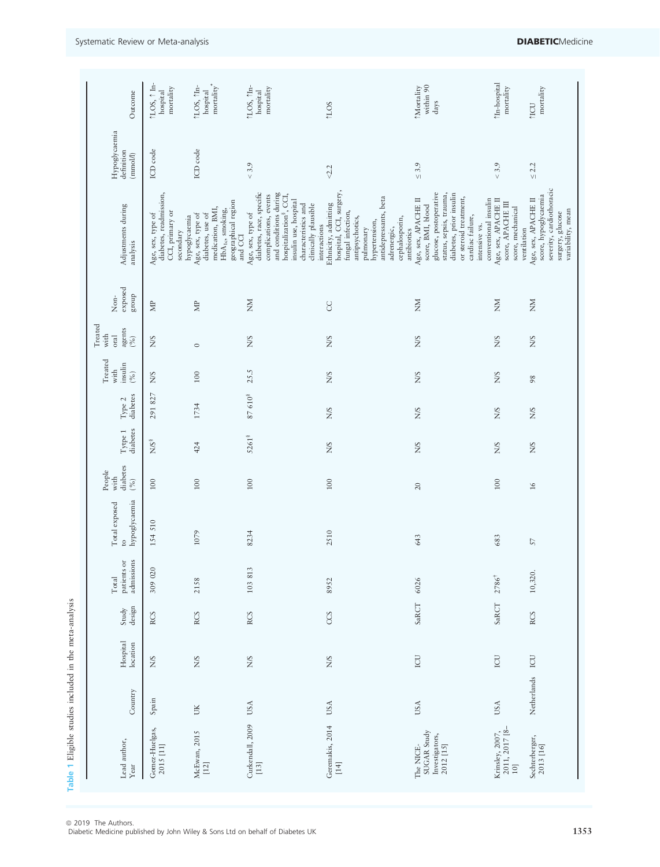| Outcome<br>Hypoglycaemia<br>definition<br>(mmol)               | 1LOS, ↑ In-<br>mortality<br>hospital<br>ICD code                            | mortality <sup>*</sup><br>↑LOS, ↑In-<br>hospital<br>ICD code                                                                              | ↑LOS, ↑In-<br>mortality<br>hospital<br>$< 3.9$                                                                                                                                                                 | <b>TLOS</b><br>< 2.2                                                                                                                                                                                                   | within 90<br>Mortality<br>days<br>$\leq 3.9$                                                                                                                                                                                  | Mn-hospital<br>mortality<br>$< 3.9$                                          | mortality<br>1101<br>$\leq 2.2$                                                             |
|----------------------------------------------------------------|-----------------------------------------------------------------------------|-------------------------------------------------------------------------------------------------------------------------------------------|----------------------------------------------------------------------------------------------------------------------------------------------------------------------------------------------------------------|------------------------------------------------------------------------------------------------------------------------------------------------------------------------------------------------------------------------|-------------------------------------------------------------------------------------------------------------------------------------------------------------------------------------------------------------------------------|------------------------------------------------------------------------------|---------------------------------------------------------------------------------------------|
| Adjustments during<br>analysis                                 | diabetes, readmission,<br>CCI, primary or<br>Age, sex, type of<br>secondary | geographical region<br>medication, BMI,<br>${\rm HbA_{1c}}$ smoking,<br>diabetes, use of<br>Age, sex, type of<br>hypoglycaemia<br>and CCI | diabetes, race, specific<br>and conditions during<br>hospitalization <sup>§</sup> , CCI,<br>complications, events<br>insulin use, hospital<br>characteristics and<br>clinically plausible<br>Age, sex, type of | hospital, CCI, surgery,<br>antidepressants, beta<br>Ethnicity, admitting<br>fungal infection,<br>antipsychotics,<br>cephalosporin,<br>hypertension,<br>interactions<br>adrenergic,<br>pulmonary                        | glucose, postoperative<br>diabetes, prior insulin<br>status, sepsis, trauma,<br>or steroid treatment,<br>Age, sex, APACHE II<br>conventional insulin<br>score, BMI, blood<br>cardiac failure,<br>intensive vs.<br>antibiotics | Age, sex, APACHE II<br>score, APACHE III<br>score, mechanical<br>ventilation | severity, cardiothoracic<br>score, hypoglycaemia<br>Age, sex, APACHE II<br>surgery, glucose |
| exposed<br>group<br>$\mbox{Non-}$                              | $\mathbb B$                                                                 | $\mathop{\boxtimes}$                                                                                                                      | ŠХ                                                                                                                                                                                                             | S                                                                                                                                                                                                                      | ŠХ                                                                                                                                                                                                                            | ŠΝ                                                                           | ŠΝ                                                                                          |
| Treated<br>agents<br>$\binom{96}{0}$<br>with<br>oral           | N/S                                                                         | $\circ$                                                                                                                                   | S/N                                                                                                                                                                                                            | <b>S/N</b>                                                                                                                                                                                                             | <b>NNS</b>                                                                                                                                                                                                                    | <b>S/K</b>                                                                   | N/S                                                                                         |
| Treated<br>insulin<br>with<br>$(96)$                           | N/S                                                                         | 100                                                                                                                                       | 25.5                                                                                                                                                                                                           | <b>S/N</b>                                                                                                                                                                                                             | <b>NNS</b>                                                                                                                                                                                                                    | <b>S/N</b>                                                                   | 98                                                                                          |
| diabetes<br>Type 2                                             | 291 827                                                                     | 1734                                                                                                                                      | $87\ 610^8$                                                                                                                                                                                                    | <b>S/N</b>                                                                                                                                                                                                             | <b>NNS</b>                                                                                                                                                                                                                    | <b>S/N</b>                                                                   | <b>N/S</b>                                                                                  |
| diabetes<br>${\rm Type ~1}$                                    | $N/S^8$                                                                     | 424                                                                                                                                       | 5261 <sup>8</sup>                                                                                                                                                                                              | <b>S/K</b>                                                                                                                                                                                                             | <b>NNS</b>                                                                                                                                                                                                                    | N/S                                                                          | N/S                                                                                         |
| diabetes<br>$\underset{\text{with}}{\text{People}}$<br>$(9\%)$ | 100                                                                         | $100\,$                                                                                                                                   | 100                                                                                                                                                                                                            | 100                                                                                                                                                                                                                    | 20                                                                                                                                                                                                                            | 100                                                                          | $\frac{6}{2}$                                                                               |
| hypoglycaemia<br>Total exposed<br>$\overline{c}$               | 154 510                                                                     | 1079                                                                                                                                      | 8234                                                                                                                                                                                                           | 2510                                                                                                                                                                                                                   | 643                                                                                                                                                                                                                           | 683                                                                          | 57                                                                                          |
| $_{\rm of}$<br>admissions<br>patients<br>Total                 | 309 020                                                                     | 2158                                                                                                                                      | 103813                                                                                                                                                                                                         | 8952                                                                                                                                                                                                                   | 6026                                                                                                                                                                                                                          | $2786^{\dagger}$                                                             | 10,320.                                                                                     |
| design<br>Study                                                | <b>RCS</b>                                                                  | <b>RCS</b>                                                                                                                                | <b>RCS</b>                                                                                                                                                                                                     | CCS                                                                                                                                                                                                                    | SaRCT                                                                                                                                                                                                                         | SaRCT                                                                        | <b>RCS</b>                                                                                  |
| Hospital<br>location                                           | N/S                                                                         | N/S                                                                                                                                       | <b>N/S</b>                                                                                                                                                                                                     | <b>S/N</b>                                                                                                                                                                                                             | <b>CU</b>                                                                                                                                                                                                                     | ICU                                                                          | ICU                                                                                         |
| Country                                                        | Spain                                                                       | ŬК                                                                                                                                        | USA                                                                                                                                                                                                            | USA                                                                                                                                                                                                                    | USA                                                                                                                                                                                                                           | USA                                                                          | Netherlands                                                                                 |
| Lead author,<br>Year                                           | Gomez-Huelgas,<br>2015 [11]                                                 | McEwan, 2015<br>[12]                                                                                                                      | Curkendall, 2009<br>$[13]$                                                                                                                                                                                     | Geremakis, 2014<br>$[14] \centering% \includegraphics[width=1\textwidth]{images/TransY.pdf} \caption{The first two different values of $y$ and $y$ and $z$ are the same as in Figure~\ref{fig:max}. } \label{fig:max}$ | SUGAR Study<br>Investigators,<br>2012 [15]<br>The NICE-                                                                                                                                                                       | Krinsley, 2007,<br>2011, 2017 [8–<br>10]                                     | Sechterberger,<br>2013 [16]                                                                 |

© 2019 The Authors.<br>Diabetic Medicine published by John Wiley & Sons Ltd on behalf of Diabetes UK 1353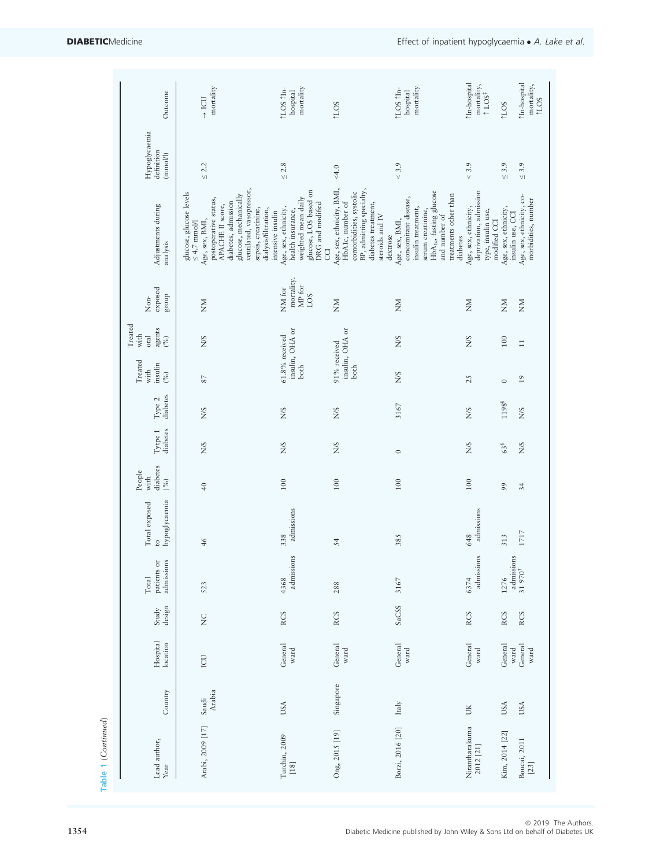| hypoglycaemia<br>Total exposed<br>$\mathfrak{S}$<br>admissions<br>$\rm \overline{o}$<br>patients<br>Total<br>design<br>Study |  | diabetes<br>People<br>with<br>$(96)$ | diabetes<br>Tytpe 1 | diabetes<br>Type 2 | Treated<br>insulin<br>with<br>$( \%)$        | Treated<br>agents<br>$\stackrel{(96)}{0}$<br>with<br>oral | exposed<br>group<br>Non-              | Adjustments during<br>analysis                                                                                                                                                          | Hypoglycaemia<br>definition<br>(mmol/l) | Outcome                                                |
|------------------------------------------------------------------------------------------------------------------------------|--|--------------------------------------|---------------------|--------------------|----------------------------------------------|-----------------------------------------------------------|---------------------------------------|-----------------------------------------------------------------------------------------------------------------------------------------------------------------------------------------|-----------------------------------------|--------------------------------------------------------|
| 46<br>523<br>$\frac{C}{Z}$                                                                                                   |  | $\sqrt{4}$                           | <b>S/N</b>          | N/S                | $87\,$                                       | N/S                                                       | MX                                    | ventilated, vasopressor,<br>glucose, glucose levels<br>glucose, mechanically<br>postoperative status,<br>diabetes, admission<br>APACHE II score,<br>Age, sex, BMI,<br>$\leq 4.7$ mnol/l | $\leq 2.2$                              | mortality<br>$\rightarrow$ ICU                         |
| admissions<br>338<br>admissions<br>4368<br><b>RCS</b>                                                                        |  | 100                                  | N/S                 | <b>S/N</b>         | insulin, OHA or<br>$61.8\%$ received<br>both |                                                           | mortality.<br>MP for<br>NM for<br>LOS | glucose, LOS based on<br>weighted mean daily<br>DRG and modified<br>Age, sex, ethnicity,<br>sepsis, creatinine,<br>dialysis/filtration,<br>health insurance,<br>intensive insulin       | $\leq 2.8$                              | mortality<br><b>LOS</b> fln-<br>hospital               |
| 54<br>288<br><b>RCS</b>                                                                                                      |  | 100                                  | N/S                 | N/S                | 91% received<br>both                         | insulin, OHA or                                           | $\sum_{i=1}^{n}$                      | Age, sex, ethnicity, BMI,<br>BP, admitting specialty,<br>comorbidities, systolic<br>HbA1c, number of<br>diabetes treatment,<br>steroids and $\ensuremath{\text{IV}}$<br><b>CO</b>       | 4.0                                     | <b>TLOS</b>                                            |
| 385<br>3167<br>SaCSS                                                                                                         |  | 100                                  | $\circ$             | 3167               | N/S                                          | N/S                                                       | $\gtrapprox$                          | HbA <sub>1c</sub> , fasting glucose<br>treatments other than<br>concomitant disease,<br>insulin treatment,<br>serum creatinine,<br>and number of<br>Age, sex, BMI,<br>dextrose          | $< 3.9$                                 | mortality<br>tLOS 1In-<br>hospital                     |
| admissions<br>648<br>admissions<br>6374<br><b>RCS</b>                                                                        |  | 100                                  | <b>N/S</b>          | <b>N/S</b>         | 25                                           | <b>N/S</b>                                                | MX                                    | deprivation, admission<br>Age, sex, ethnicity,<br>type, insulin use,<br>diabetes                                                                                                        | $< 3.9$                                 | Mn-hospital<br>mortality,<br>$\uparrow$ LOS $\uparrow$ |
| 313<br>admissions<br>1276<br><b>RCS</b>                                                                                      |  | 99                                   | 638                 | 1198 <sup>8</sup>  | $\circ$                                      | $100\,$                                                   | $\mathop{\rm \mathsf{SM}}$            | Age, sex, ethnicity,<br>insulin use, CCI<br>modified CCI                                                                                                                                | $\leq 3.9$                              | <b>NOT</b>                                             |
| 1717<br>31 970 <sup>†</sup><br><b>RCS</b>                                                                                    |  | 34                                   | N/S                 | N/S                | $\overline{19}$                              | $\Xi$                                                     | $\sum_{\mathbf{N}}$                   | Age, sex, ethnicity, co-<br>morbidities, number                                                                                                                                         | $\leq 3.9$                              | <b>Mn-hospital</b><br>mortality,<br>$704$              |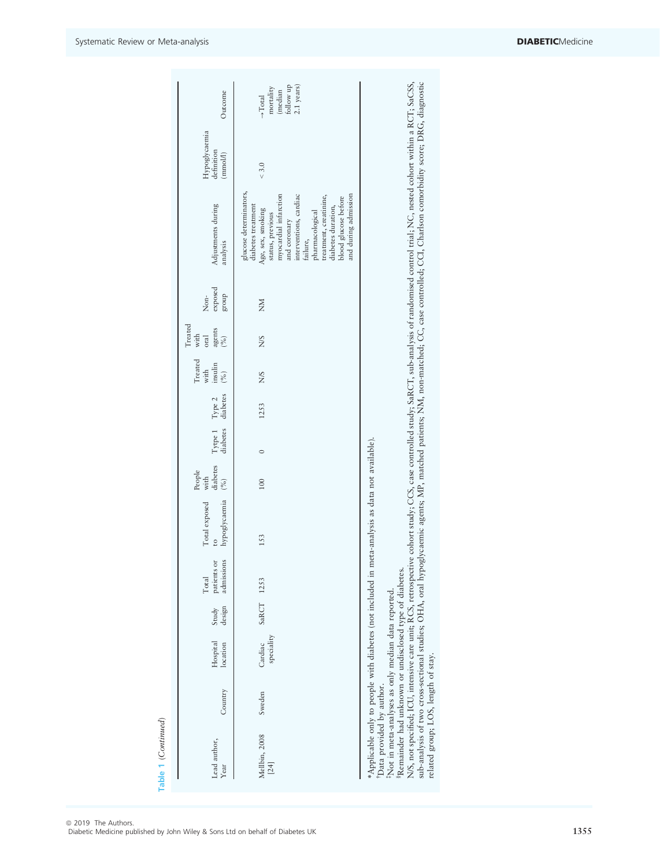| Outcome                                                  | (median<br>follow up<br>$2.1$ years)<br>mortality<br>$\rightarrow$ Total                                                                                                                                                                                                                |                                                                                                                                                                                                                                                                                                                                                                                                 |
|----------------------------------------------------------|-----------------------------------------------------------------------------------------------------------------------------------------------------------------------------------------------------------------------------------------------------------------------------------------|-------------------------------------------------------------------------------------------------------------------------------------------------------------------------------------------------------------------------------------------------------------------------------------------------------------------------------------------------------------------------------------------------|
| Hypoglycaemia<br>definition<br>(mmol/l)                  | $< 3.0$                                                                                                                                                                                                                                                                                 |                                                                                                                                                                                                                                                                                                                                                                                                 |
| Adjustments during<br>analysis                           | glucose determinators,<br>myocardial infarction<br>interventions, cardiac<br>treatment, creatinine,<br>and during admission<br>blood glucose before<br>diabetes treatment<br>diabetes duration,<br>Age, sex, smoking<br>pharmacological<br>status, previous<br>and coronary<br>failure, | sub-analysis of two cross-sectional studies; OHA, oral hypoglycaemic agents; MP, matched patients; NM, non-matched; CC, case controlled; CCI, Charlson comorbidity score; DRG, diagnostic<br>N/S, not specified; ICU, intensive care unit; RCS, retrospective cohort study; GCS, case controlled study; SaRCT, sub-analysis of randomised control trial; NC, nested cohort within a RCT; SaCSS, |
| exposed<br>group<br>$Non-$                               | MX                                                                                                                                                                                                                                                                                      |                                                                                                                                                                                                                                                                                                                                                                                                 |
| Treated<br>agents<br>$\binom{\infty}{0}$<br>with<br>oral | <b>S/N</b>                                                                                                                                                                                                                                                                              |                                                                                                                                                                                                                                                                                                                                                                                                 |
| Treated<br>with<br>insulin $\sum_{(\%)}$                 | <b>S/N</b>                                                                                                                                                                                                                                                                              |                                                                                                                                                                                                                                                                                                                                                                                                 |
| Type 2<br>diabetes                                       | 1253                                                                                                                                                                                                                                                                                    |                                                                                                                                                                                                                                                                                                                                                                                                 |
| Tytpe 1<br>diabetes                                      | $\circ$                                                                                                                                                                                                                                                                                 |                                                                                                                                                                                                                                                                                                                                                                                                 |
| People<br>with<br>diabetes<br>$( \%)$                    | 100                                                                                                                                                                                                                                                                                     |                                                                                                                                                                                                                                                                                                                                                                                                 |
| hypoglycaemia<br>Total exposed                           | *Applicable only to people with diabetes (not included in meta-analysis as data not available).<br>153                                                                                                                                                                                  |                                                                                                                                                                                                                                                                                                                                                                                                 |
| admissions<br>patients or<br>Total                       |                                                                                                                                                                                                                                                                                         |                                                                                                                                                                                                                                                                                                                                                                                                 |
| design<br>Study                                          | SaRCT 1253                                                                                                                                                                                                                                                                              |                                                                                                                                                                                                                                                                                                                                                                                                 |
| Hospital<br>location                                     | speciality<br>Cardiac                                                                                                                                                                                                                                                                   |                                                                                                                                                                                                                                                                                                                                                                                                 |
| Country                                                  | Sweden                                                                                                                                                                                                                                                                                  |                                                                                                                                                                                                                                                                                                                                                                                                 |
| Lead author,<br>Year                                     | Mellbin, 2008<br>[24]                                                                                                                                                                                                                                                                   | Remainder had unknown or undisclosed type of diabetes.<br>Not in meta-analyses as only median data reported.<br>related group; LOS, length of stay.<br>Data provided by author.                                                                                                                                                                                                                 |

| © 2019 The Authors.                                                           |  |
|-------------------------------------------------------------------------------|--|
| Diabetic Medicine published by John Wiley & Sons Ltd on behalf of Diabetes UK |  |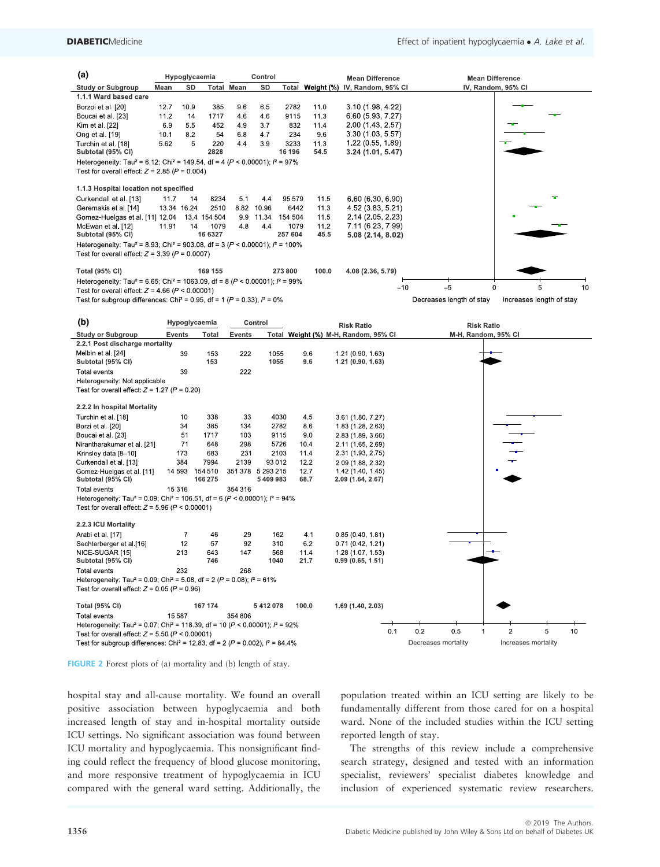| (a)                                                                                                                                                              |             | Hypoglycaemia  |              |                   | Control           |         |       | <b>Mean Difference</b>               |       |                     |                          | <b>Mean Difference</b>   |   |    |
|------------------------------------------------------------------------------------------------------------------------------------------------------------------|-------------|----------------|--------------|-------------------|-------------------|---------|-------|--------------------------------------|-------|---------------------|--------------------------|--------------------------|---|----|
| <b>Study or Subgroup</b>                                                                                                                                         | Mean        | SD             |              | <b>Total Mean</b> | SD                |         |       | Total Weight (%) IV, Random, 95% CI  |       |                     |                          | IV, Random, 95% CI       |   |    |
| 1.1.1 Ward based care                                                                                                                                            |             |                |              |                   |                   |         |       |                                      |       |                     |                          |                          |   |    |
| Borzoi et al. [20]                                                                                                                                               | 12.7        | 10.9           | 385          | 9.6               | 6.5               | 2782    | 11.0  | 3 10 (1 98, 4 22)                    |       |                     |                          |                          |   |    |
| Boucai et al. [23]                                                                                                                                               | 11.2        | 14             | 1717         | 4.6               | 4.6               | 9115    | 11.3  | 6 60 (5 93, 7 27)                    |       |                     |                          |                          |   |    |
| Kim et al. [22]                                                                                                                                                  | 6.9         | 5.5            | 452          | 4.9               | 3.7               | 832     | 11.4  | 2 00 (1 43, 2 57)                    |       |                     |                          |                          |   |    |
| Ong et al. [19]                                                                                                                                                  | 10.1        | 8.2            | 54           | 6.8               | 4.7               | 234     | 9.6   | 3 30 (1 03, 5 57)                    |       |                     |                          |                          |   |    |
| Turchin et al. [18]                                                                                                                                              | 5.62        | 5              | 220          | 4.4               | 3.9               | 3233    | 11.3  | 1 22 (0 55, 1 89)                    |       |                     |                          |                          |   |    |
| Subtotal (95% CI)                                                                                                                                                |             |                | 2828         |                   |                   | 16 196  | 54.5  | 3.24(1.01, 5.47)                     |       |                     |                          |                          |   |    |
| Heterogeneity: Tau <sup>2</sup> = 6.12; Chi <sup>2</sup> = 149.54, df = 4 ( $P$ < 0.00001); $P = 97\%$<br>Test for overall effect: $Z = 2.85$ ( $P = 0.004$ )    |             |                |              |                   |                   |         |       |                                      |       |                     |                          |                          |   |    |
| 1.1.3 Hospital location not specified                                                                                                                            |             |                |              |                   |                   |         |       |                                      |       |                     |                          |                          |   |    |
| Curkendall et al. [13]                                                                                                                                           | 11.7        | 14             | 8234         | 5.1               | 4.4               | 95 579  | 11.5  | 6 60 (6 30, 6 90)                    |       |                     |                          |                          |   |    |
| Geremakis et al. [14]                                                                                                                                            | 13.34 16.24 |                | 2510         | 8.82              | 10.96             | 6442    | 11.3  | 4 52 (3 83, 5 21)                    |       |                     |                          |                          |   |    |
| Gomez-Huelgas et al. [11] 12.04                                                                                                                                  |             |                | 13.4 154 504 |                   | 9.9 11.34         | 154 504 | 11.5  | 2 14 (2 05, 2 23)                    |       |                     |                          |                          |   |    |
| McEwan et al. [12]                                                                                                                                               | 11.91       | 14             | 1079         | 4.8               | 4.4               | 1079    | 11.2  | 7 11 (6 23, 7 99)                    |       |                     |                          |                          |   |    |
| Subtotal (95% CI)                                                                                                                                                |             |                | 16 6327      |                   |                   | 257 604 | 45.5  | 5.08 (2.14, 8.02)                    |       |                     |                          |                          |   |    |
| Heterogeneity: Tau <sup>2</sup> = 8.93; Chi <sup>2</sup> = 903.08, df = 3 ( $P$ < 0.00001); $P = 100\%$<br>Test for overall effect: $Z = 3.39$ ( $P = 0.0007$ )  |             |                |              |                   |                   |         |       |                                      |       |                     |                          |                          |   |    |
| <b>Total (95% CI)</b>                                                                                                                                            |             |                | 169 155      |                   |                   | 273 800 | 100.0 | 4.08 (2.36, 5.79)                    |       |                     |                          |                          |   |    |
| Heterogeneity: Tau <sup>2</sup> = 6.65; Chi <sup>2</sup> = 1063.09, df = 8 ( $P$ < 0.00001); $I^2$ = 99%                                                         |             |                |              |                   |                   |         |       |                                      |       |                     |                          |                          |   |    |
| Test for overall effect: $Z = 4.66$ ( $P < 0.00001$ )                                                                                                            |             |                |              |                   |                   |         |       |                                      | $-10$ |                     | -5                       | $\mathbf 0$              | 5 | 10 |
| Test for subgroup differences: Chi <sup>2</sup> = 0.95, df = 1 ( $P$ = 0.33), $I^2$ = 0%                                                                         |             |                |              |                   |                   |         |       |                                      |       |                     | Decreases length of stay | Increases length of stay |   |    |
|                                                                                                                                                                  |             |                |              |                   |                   |         |       |                                      |       |                     |                          |                          |   |    |
| (b)                                                                                                                                                              |             | Hypoglycaemia  |              |                   | Control           |         |       | <b>Risk Ratio</b>                    |       |                     | <b>Risk Ratio</b>        |                          |   |    |
| <b>Study or Subgroup</b>                                                                                                                                         | Events      |                | Total        | Events            |                   |         |       | Total Weight (%) M-H, Random, 95% Cl |       |                     | M-H, Random, 95% CI      |                          |   |    |
| 2.2.1 Post discharge mortality                                                                                                                                   |             |                |              |                   |                   |         |       |                                      |       |                     |                          |                          |   |    |
| Melbin et al. [24]                                                                                                                                               |             | 39             | 153          | 222               | 1055              |         | 9.6   | 1 21 (0 90, 1 63)                    |       |                     |                          |                          |   |    |
| Subtotal (95% CI)                                                                                                                                                |             |                | 153          |                   | 1055              |         | 9.6   | 1.21 (0.90, 1.63)                    |       |                     |                          |                          |   |    |
| Total events                                                                                                                                                     |             | 39             |              | 222               |                   |         |       |                                      |       |                     |                          |                          |   |    |
| Heterogeneity: Not applicable                                                                                                                                    |             |                |              |                   |                   |         |       |                                      |       |                     |                          |                          |   |    |
| Test for overall effect: $Z = 1.27$ ( $P = 0.20$ )                                                                                                               |             |                |              |                   |                   |         |       |                                      |       |                     |                          |                          |   |    |
|                                                                                                                                                                  |             |                |              |                   |                   |         |       |                                      |       |                     |                          |                          |   |    |
| 2.2.2 In hospital Mortality                                                                                                                                      |             |                |              |                   |                   |         |       |                                      |       |                     |                          |                          |   |    |
| Turchin et al. [18]                                                                                                                                              |             | 10             | 338          | 33                | 4030              |         | 4.5   | 3 61 (1 80, 7 27)                    |       |                     |                          |                          |   |    |
| Borzi et al. [20]                                                                                                                                                |             | 34             | 385          | 134               | 2782              |         | 8.6   | 1.83 (1.28, 2.63)                    |       |                     |                          |                          |   |    |
| Boucai et al. [23]                                                                                                                                               |             | 51             | 1717         | 103               | 9115              |         | 9.0   | 2 83 (1 89, 3 66)                    |       |                     |                          |                          |   |    |
| Nirantharakumar et al. [21]                                                                                                                                      |             | 71             | 648          | 298               | 5726              |         | 10.4  | 2 11 (1.65, 2.69)                    |       |                     |                          |                          |   |    |
| Krinsley data [8-10]                                                                                                                                             |             | 173            | 683          | 231               | 2103              |         | 11.4  | 2 31 (1 93, 2 75)                    |       |                     |                          |                          |   |    |
| Curkendall et al. [13]                                                                                                                                           |             | 384            | 7994         | 2139              | 93 012            |         | 12.2  | 2 09 (1 88, 2 32)                    |       |                     |                          |                          |   |    |
| Gomez Huelgas et al. [11]                                                                                                                                        | 14 593      |                | 154510       |                   | 351 378 5 293 215 |         | 12.7  | 1.42 (1.40, 1.45)                    |       |                     |                          |                          |   |    |
| Subtotal (95% CI)                                                                                                                                                |             |                | 166275       |                   | 5409983           |         | 68.7  | 2.09 (1.64, 2.67)                    |       |                     |                          |                          |   |    |
| Total events                                                                                                                                                     | 15 316      |                |              | 354 316           |                   |         |       |                                      |       |                     |                          |                          |   |    |
| Heterogeneity: Tau <sup>2</sup> = 0.09; Chi <sup>2</sup> = 106.51, df = 6 ( $P$ < 0.00001); $I^2$ = 94%<br>Test for overall effect: $Z = 5.96$ ( $P < 0.00001$ ) |             |                |              |                   |                   |         |       |                                      |       |                     |                          |                          |   |    |
| 2.2.3 ICU Mortality                                                                                                                                              |             |                |              |                   |                   |         |       |                                      |       |                     |                          |                          |   |    |
| Arabi et al. [17]                                                                                                                                                |             | $\overline{7}$ | 46           | 29                | 162               |         | 4.1   | 0.85(0.40, 1.81)                     |       |                     |                          |                          |   |    |
| Sechterberger et al.[16]                                                                                                                                         |             | 12             | 57           | 92                | 310               |         | 6.2   | 0.71(0.42, 1.21)                     |       |                     |                          |                          |   |    |
| NICE-SUGAR [15]                                                                                                                                                  |             | 213            | 643          | 147               | 568               |         | 11.4  | 1.28 (1.07, 1.53)                    |       |                     |                          |                          |   |    |
| Subtotal (95% CI)                                                                                                                                                |             |                | 746          |                   | 1040              |         | 21.7  | 0.99(0.65, 1.51)                     |       |                     |                          |                          |   |    |
| <b>Total events</b>                                                                                                                                              |             | 232            |              | 268               |                   |         |       |                                      |       |                     |                          |                          |   |    |
| Heterogeneity: Tau <sup>2</sup> = 0.09; Chi <sup>2</sup> = 5.08, df = 2 (P = 0.08); $l^2$ = 61%                                                                  |             |                |              |                   |                   |         |       |                                      |       |                     |                          |                          |   |    |
| Test for overall effect: $Z = 0.05$ ( $P = 0.96$ )                                                                                                               |             |                |              |                   |                   |         |       |                                      |       |                     |                          |                          |   |    |
| <b>Total (95% CI)</b>                                                                                                                                            |             |                | 167 174      |                   | 5412078           |         | 100.0 | 1.69 (1.40, 2.03)                    |       |                     |                          |                          |   |    |
| Total events                                                                                                                                                     | 15 5 87     |                |              | 354 806           |                   |         |       |                                      |       |                     |                          |                          |   |    |
| Heterogeneity: Tau <sup>2</sup> = 0.07; Chi <sup>2</sup> = 118.39, df = 10 ( $P$ < 0.00001); $I^2$ = 92%                                                         |             |                |              |                   |                   |         |       |                                      |       |                     |                          |                          |   |    |
| Test for overall effect: $Z = 5.50$ ( $P < 0.00001$ )                                                                                                            |             |                |              |                   |                   |         |       |                                      | 0.1   | 0.2                 | 0.5<br>$\mathbf{1}$      | $\overline{2}$           | 5 | 10 |
| Test for subgroup differences: Chi <sup>2</sup> = 12.83, df = 2 ( $P$ = 0.002), $I^2$ = 84.4%                                                                    |             |                |              |                   |                   |         |       |                                      |       | Decreases mortality |                          | Increases mortality      |   |    |
|                                                                                                                                                                  |             |                |              |                   |                   |         |       |                                      |       |                     |                          |                          |   |    |

FIGURE 2 Forest plots of (a) mortality and (b) length of stay.

hospital stay and all-cause mortality. We found an overall positive association between hypoglycaemia and both increased length of stay and in-hospital mortality outside ICU settings. No significant association was found between ICU mortality and hypoglycaemia. This nonsignificant finding could reflect the frequency of blood glucose monitoring, and more responsive treatment of hypoglycaemia in ICU compared with the general ward setting. Additionally, the

population treated within an ICU setting are likely to be fundamentally different from those cared for on a hospital ward. None of the included studies within the ICU setting reported length of stay.

The strengths of this review include a comprehensive search strategy, designed and tested with an information specialist, reviewers' specialist diabetes knowledge and inclusion of experienced systematic review researchers.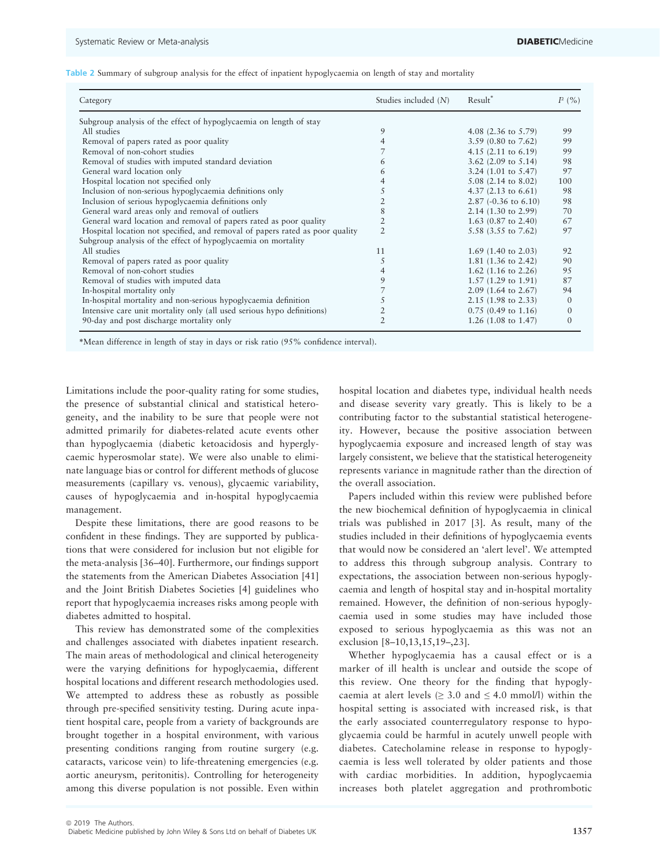|  |  |  |  |  |  |  |  | Table 2 Summary of subgroup analysis for the effect of inpatient hypoglycaemia on length of stay and mortality |  |  |  |  |
|--|--|--|--|--|--|--|--|----------------------------------------------------------------------------------------------------------------|--|--|--|--|
|--|--|--|--|--|--|--|--|----------------------------------------------------------------------------------------------------------------|--|--|--|--|

| Category                                                                     | Studies included $(N)$ | Result <sup>*</sup>             | $I^2$ (%) |
|------------------------------------------------------------------------------|------------------------|---------------------------------|-----------|
| Subgroup analysis of the effect of hypoglycaemia on length of stay           |                        |                                 |           |
| All studies                                                                  | 9                      | 4.08 $(2.36 \text{ to } 5.79)$  | 99        |
| Removal of papers rated as poor quality                                      | 4                      | 3.59 (0.80 to $7.62$ )          | 99        |
| Removal of non-cohort studies                                                |                        | 4.15 $(2.11 \text{ to } 6.19)$  | 99        |
| Removal of studies with imputed standard deviation                           | 6                      | 3.62 (2.09 to $5.14$ )          | 98        |
| General ward location only                                                   | 6                      | 3.24 $(1.01 \text{ to } 5.47)$  | 97        |
| Hospital location not specified only                                         |                        | $5.08$ (2.14 to 8.02)           | 100       |
| Inclusion of non-serious hypoglycaemia definitions only                      | 5                      | 4.37 $(2.13 \text{ to } 6.61)$  | 98        |
| Inclusion of serious hypoglycaemia definitions only                          |                        | 2.87 $(-0.36 \text{ to } 6.10)$ | 98        |
| General ward areas only and removal of outliers                              | 8                      | $2.14$ (1.30 to 2.99)           | 70        |
| General ward location and removal of papers rated as poor quality            | 2                      | 1.63 $(0.87 \text{ to } 2.40)$  | 67        |
| Hospital location not specified, and removal of papers rated as poor quality | 2                      | 5.58 (3.55 to 7.62)             | 97        |
| Subgroup analysis of the effect of hypoglycaemia on mortality                |                        |                                 |           |
| All studies                                                                  | 11                     | 1.69 $(1.40 \text{ to } 2.03)$  | 92        |
| Removal of papers rated as poor quality                                      | 5                      | 1.81 $(1.36 \text{ to } 2.42)$  | 90        |
| Removal of non-cohort studies                                                |                        | 1.62 $(1.16 \text{ to } 2.26)$  | 95        |
| Removal of studies with imputed data                                         | 9                      | $1.57(1.29 \text{ to } 1.91)$   | 87        |
| In-hospital mortality only                                                   |                        | $2.09(1.64 \text{ to } 2.67)$   | 94        |
| In-hospital mortality and non-serious hypoglycaemia definition               |                        | $2.15$ (1.98 to 2.33)           | $\Omega$  |
| Intensive care unit mortality only (all used serious hypo definitions)       |                        | $0.75$ (0.49 to 1.16)           | 0         |
| 90-day and post discharge mortality only                                     | 2                      | 1.26 $(1.08 \text{ to } 1.47)$  | $\Omega$  |

\*Mean difference in length of stay in days or risk ratio (95% confidence interval).

Limitations include the poor-quality rating for some studies, the presence of substantial clinical and statistical heterogeneity, and the inability to be sure that people were not admitted primarily for diabetes-related acute events other than hypoglycaemia (diabetic ketoacidosis and hyperglycaemic hyperosmolar state). We were also unable to eliminate language bias or control for different methods of glucose measurements (capillary vs. venous), glycaemic variability, causes of hypoglycaemia and in-hospital hypoglycaemia management.

Despite these limitations, there are good reasons to be confident in these findings. They are supported by publications that were considered for inclusion but not eligible for the meta-analysis [36–40]. Furthermore, our findings support the statements from the American Diabetes Association [41] and the Joint British Diabetes Societies [4] guidelines who report that hypoglycaemia increases risks among people with diabetes admitted to hospital.

This review has demonstrated some of the complexities and challenges associated with diabetes inpatient research. The main areas of methodological and clinical heterogeneity were the varying definitions for hypoglycaemia, different hospital locations and different research methodologies used. We attempted to address these as robustly as possible through pre-specified sensitivity testing. During acute inpatient hospital care, people from a variety of backgrounds are brought together in a hospital environment, with various presenting conditions ranging from routine surgery (e.g. cataracts, varicose vein) to life-threatening emergencies (e.g. aortic aneurysm, peritonitis). Controlling for heterogeneity among this diverse population is not possible. Even within

hospital location and diabetes type, individual health needs and disease severity vary greatly. This is likely to be a contributing factor to the substantial statistical heterogeneity. However, because the positive association between hypoglycaemia exposure and increased length of stay was largely consistent, we believe that the statistical heterogeneity represents variance in magnitude rather than the direction of the overall association.

Papers included within this review were published before the new biochemical definition of hypoglycaemia in clinical trials was published in 2017 [3]. As result, many of the studies included in their definitions of hypoglycaemia events that would now be considered an 'alert level'. We attempted to address this through subgroup analysis. Contrary to expectations, the association between non-serious hypoglycaemia and length of hospital stay and in-hospital mortality remained. However, the definition of non-serious hypoglycaemia used in some studies may have included those exposed to serious hypoglycaemia as this was not an exclusion [8–10,13,15,19–,23].

Whether hypoglycaemia has a causal effect or is a marker of ill health is unclear and outside the scope of this review. One theory for the finding that hypoglycaemia at alert levels ( $\geq$  3.0 and  $\leq$  4.0 mmol/l) within the hospital setting is associated with increased risk, is that the early associated counterregulatory response to hypoglycaemia could be harmful in acutely unwell people with diabetes. Catecholamine release in response to hypoglycaemia is less well tolerated by older patients and those with cardiac morbidities. In addition, hypoglycaemia increases both platelet aggregation and prothrombotic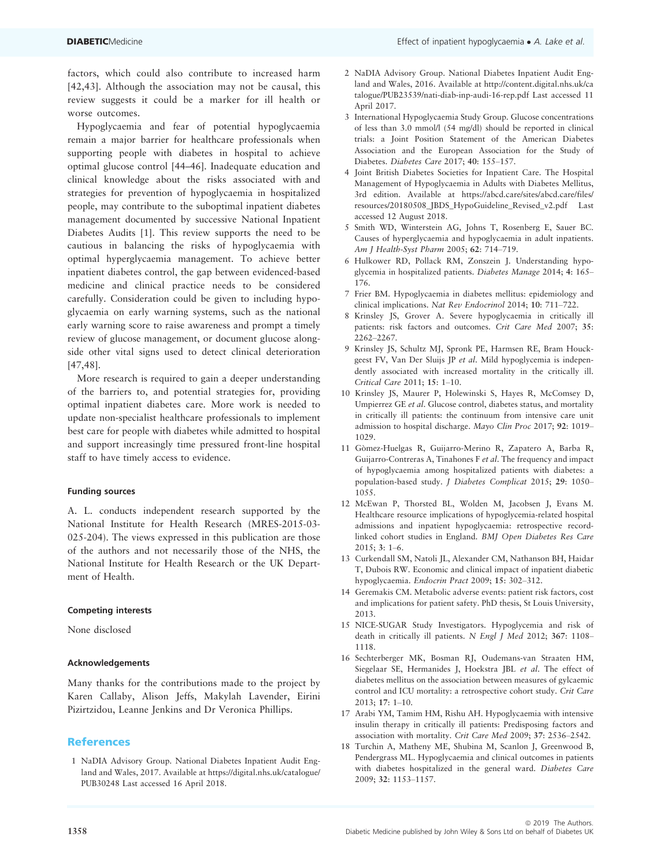factors, which could also contribute to increased harm [42,43]. Although the association may not be causal, this review suggests it could be a marker for ill health or worse outcomes.

Hypoglycaemia and fear of potential hypoglycaemia remain a major barrier for healthcare professionals when supporting people with diabetes in hospital to achieve optimal glucose control [44–46]. Inadequate education and clinical knowledge about the risks associated with and strategies for prevention of hypoglycaemia in hospitalized people, may contribute to the suboptimal inpatient diabetes management documented by successive National Inpatient Diabetes Audits [1]. This review supports the need to be cautious in balancing the risks of hypoglycaemia with optimal hyperglycaemia management. To achieve better inpatient diabetes control, the gap between evidenced-based medicine and clinical practice needs to be considered carefully. Consideration could be given to including hypoglycaemia on early warning systems, such as the national early warning score to raise awareness and prompt a timely review of glucose management, or document glucose alongside other vital signs used to detect clinical deterioration [47,48].

More research is required to gain a deeper understanding of the barriers to, and potential strategies for, providing optimal inpatient diabetes care. More work is needed to update non-specialist healthcare professionals to implement best care for people with diabetes while admitted to hospital and support increasingly time pressured front-line hospital staff to have timely access to evidence.

## Funding sources

A. L. conducts independent research supported by the National Institute for Health Research (MRES-2015-03- 025-204). The views expressed in this publication are those of the authors and not necessarily those of the NHS, the National Institute for Health Research or the UK Department of Health.

#### Competing interests

None disclosed

#### Acknowledgements

Many thanks for the contributions made to the project by Karen Callaby, Alison Jeffs, Makylah Lavender, Eirini Pizirtzidou, Leanne Jenkins and Dr Veronica Phillips.

# References

1 NaDIA Advisory Group. National Diabetes Inpatient Audit England and Wales, 2017. Available at [https://digital.nhs.uk/catalogue/](https://digital.nhs.uk/catalogue/PUB30248) [PUB30248](https://digital.nhs.uk/catalogue/PUB30248) Last accessed 16 April 2018.

- 2 NaDIA Advisory Group. National Diabetes Inpatient Audit England and Wales, 2016. Available at [http://content.digital.nhs.uk/ca](http://content.digital.nhs.uk/catalogue/PUB23539/nati-diab-inp-audi-16-rep.pdf) [talogue/PUB23539/nati-diab-inp-audi-16-rep.pdf](http://content.digital.nhs.uk/catalogue/PUB23539/nati-diab-inp-audi-16-rep.pdf) Last accessed 11 April 2017.
- 3 International Hypoglycaemia Study Group. Glucose concentrations of less than 3.0 mmol/l (54 mg/dl) should be reported in clinical trials: a Joint Position Statement of the American Diabetes Association and the European Association for the Study of Diabetes. Diabetes Care 2017; 40: 155–157.
- 4 Joint British Diabetes Societies for Inpatient Care. The Hospital Management of Hypoglycaemia in Adults with Diabetes Mellitus, 3rd edition. Available at [https://abcd.care/sites/abcd.care/files/](https://abcd.care/sites/abcd.care/files/resources/20180508_JBDS_HypoGuideline_Revised_v2.pdf) [resources/20180508\\_JBDS\\_HypoGuideline\\_Revised\\_v2.pdf](https://abcd.care/sites/abcd.care/files/resources/20180508_JBDS_HypoGuideline_Revised_v2.pdf) Last accessed 12 August 2018.
- 5 Smith WD, Winterstein AG, Johns T, Rosenberg E, Sauer BC. Causes of hyperglycaemia and hypoglycaemia in adult inpatients. Am J Health-Syst Pharm 2005; 62: 714–719.
- 6 Hulkower RD, Pollack RM, Zonszein J. Understanding hypoglycemia in hospitalized patients. Diabetes Manage 2014; 4: 165– 176.
- 7 Frier BM. Hypoglycaemia in diabetes mellitus: epidemiology and clinical implications. Nat Rev Endocrinol 2014; 10: 711–722.
- 8 Krinsley JS, Grover A. Severe hypoglycaemia in critically ill patients: risk factors and outcomes. Crit Care Med 2007; 35: 2262–2267.
- 9 Krinsley JS, Schultz MJ, Spronk PE, Harmsen RE, Bram Houckgeest FV, Van Der Sluijs JP et al. Mild hypoglycemia is independently associated with increased mortality in the critically ill. Critical Care 2011; 15: 1–10.
- 10 Krinsley JS, Maurer P, Holewinski S, Hayes R, McComsey D, Umpierrez GE et al. Glucose control, diabetes status, and mortality in critically ill patients: the continuum from intensive care unit admission to hospital discharge. Mayo Clin Proc 2017; 92: 1019– 1029.
- 11 Gomez-Huelgas R, Guijarro-Merino R, Zapatero A, Barba R, Guijarro-Contreras A, Tinahones F et al. The frequency and impact of hypoglycaemia among hospitalized patients with diabetes: a population-based study. J Diabetes Complicat 2015; 29: 1050– 1055.
- 12 McEwan P, Thorsted BL, Wolden M, Jacobsen J, Evans M. Healthcare resource implications of hypoglycemia-related hospital admissions and inpatient hypoglycaemia: retrospective recordlinked cohort studies in England. BMJ Open Diabetes Res Care 2015; 3: 1–6.
- 13 Curkendall SM, Natoli JL, Alexander CM, Nathanson BH, Haidar T, Dubois RW. Economic and clinical impact of inpatient diabetic hypoglycaemia. Endocrin Pract 2009; 15: 302–312.
- 14 Geremakis CM. Metabolic adverse events: patient risk factors, cost and implications for patient safety. PhD thesis, St Louis University, 2013.
- 15 NICE-SUGAR Study Investigators. Hypoglycemia and risk of death in critically ill patients. N Engl J Med 2012; 367: 1108– 1118.
- 16 Sechterberger MK, Bosman RJ, Oudemans-van Straaten HM, Siegelaar SE, Hermanides J, Hoekstra JBL et al. The effect of diabetes mellitus on the association between measures of gylcaemic control and ICU mortality: a retrospective cohort study. Crit Care 2013; 17: 1–10.
- 17 Arabi YM, Tamim HM, Rishu AH. Hypoglycaemia with intensive insulin therapy in critically ill patients: Predisposing factors and association with mortality. Crit Care Med 2009; 37: 2536–2542.
- 18 Turchin A, Matheny ME, Shubina M, Scanlon J, Greenwood B, Pendergrass ML. Hypoglycaemia and clinical outcomes in patients with diabetes hospitalized in the general ward. Diabetes Care 2009; 32: 1153–1157.